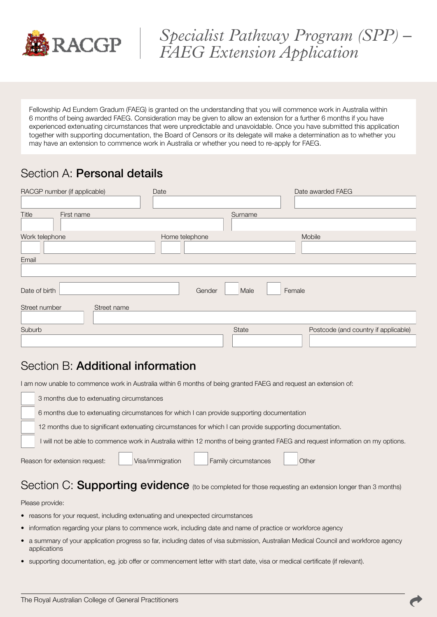

# *Specialist Pathway Program (SPP) – FAEG Extension Application*

Fellowship Ad Eundem Gradum (FAEG) is granted on the understanding that you will commence work in Australia within 6 months of being awarded FAEG. Consideration may be given to allow an extension for a further 6 months if you have experienced extenuating circumstances that were unpredictable and unavoidable. Once you have submitted this application together with supporting documentation, the Board of Censors or its delegate will make a determination as to whether you may have an extension to commence work in Australia or whether you need to re-apply for FAEG.

# Section A: Personal details

| RACGP number (if applicable) | Date           |                | Date awarded FAEG                    |  |
|------------------------------|----------------|----------------|--------------------------------------|--|
|                              |                |                |                                      |  |
| Title<br>First name          | Surname        |                |                                      |  |
|                              |                |                |                                      |  |
| Work telephone               | Home telephone |                | Mobile                               |  |
|                              |                |                |                                      |  |
| Email                        |                |                |                                      |  |
|                              |                |                |                                      |  |
| Date of birth                | Gender         | Male<br>Female |                                      |  |
| Street number<br>Street name |                |                |                                      |  |
|                              |                |                |                                      |  |
| Suburb                       |                | State          | Postcode (and country if applicable) |  |
|                              |                |                |                                      |  |

## Section B: Additional information

I am now unable to commence work in Australia within 6 months of being granted FAEG and request an extension of:

| 3 months due to extenuating circumstances                                                                                      |  |  |  |  |  |
|--------------------------------------------------------------------------------------------------------------------------------|--|--|--|--|--|
| 6 months due to extenuating circumstances for which I can provide supporting documentation                                     |  |  |  |  |  |
| 12 months due to significant extenuating circumstances for which I can provide supporting documentation.                       |  |  |  |  |  |
| I will not be able to commence work in Australia within 12 months of being granted FAEG and request information on my options. |  |  |  |  |  |
| Family circumstances<br>Visa/immigration<br>Reason for extension request:<br>Other                                             |  |  |  |  |  |

## Section C: Supporting evidence (to be completed for those requesting an extension longer than 3 months)

#### Please provide:

- reasons for your request, including extenuating and unexpected circumstances
- information regarding your plans to commence work, including date and name of practice or workforce agency
- a summary of your application progress so far, including dates of visa submission, Australian Medical Council and workforce agency applications
- supporting documentation, eg. job offer or commencement letter with start date, visa or medical certificate (if relevant).